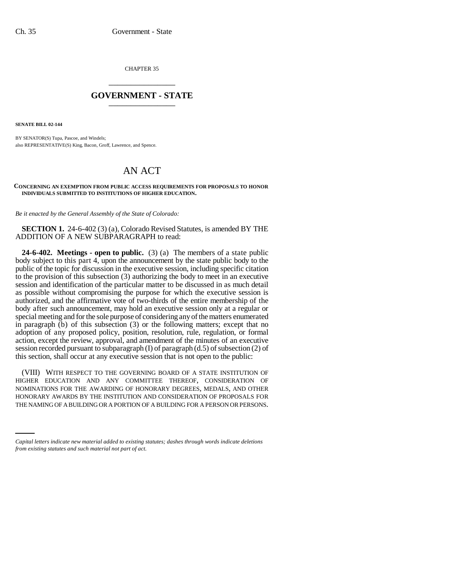CHAPTER 35 \_\_\_\_\_\_\_\_\_\_\_\_\_\_\_

## **GOVERNMENT - STATE** \_\_\_\_\_\_\_\_\_\_\_\_\_\_\_

**SENATE BILL 02-144**

BY SENATOR(S) Tupa, Pascoe, and Windels; also REPRESENTATIVE(S) King, Bacon, Groff, Lawrence, and Spence.

## AN ACT

## **CONCERNING AN EXEMPTION FROM PUBLIC ACCESS REQUIREMENTS FOR PROPOSALS TO HONOR INDIVIDUALS SUBMITTED TO INSTITUTIONS OF HIGHER EDUCATION.**

*Be it enacted by the General Assembly of the State of Colorado:*

**SECTION 1.** 24-6-402 (3) (a), Colorado Revised Statutes, is amended BY THE ADDITION OF A NEW SUBPARAGRAPH to read:

**24-6-402. Meetings - open to public.** (3) (a) The members of a state public body subject to this part 4, upon the announcement by the state public body to the public of the topic for discussion in the executive session, including specific citation to the provision of this subsection (3) authorizing the body to meet in an executive session and identification of the particular matter to be discussed in as much detail as possible without compromising the purpose for which the executive session is authorized, and the affirmative vote of two-thirds of the entire membership of the body after such announcement, may hold an executive session only at a regular or special meeting and for the sole purpose of considering any of the matters enumerated in paragraph (b) of this subsection (3) or the following matters; except that no adoption of any proposed policy, position, resolution, rule, regulation, or formal action, except the review, approval, and amendment of the minutes of an executive session recorded pursuant to subparagraph (I) of paragraph (d.5) of subsection (2) of this section, shall occur at any executive session that is not open to the public:

HONORARY AWARDS BY THE INSTITUTION AND CONSIDERATION OF PROPOSALS FOR (VIII) WITH RESPECT TO THE GOVERNING BOARD OF A STATE INSTITUTION OF HIGHER EDUCATION AND ANY COMMITTEE THEREOF, CONSIDERATION OF NOMINATIONS FOR THE AWARDING OF HONORARY DEGREES, MEDALS, AND OTHER THE NAMING OF A BUILDING OR A PORTION OF A BUILDING FOR A PERSON OR PERSONS.

*Capital letters indicate new material added to existing statutes; dashes through words indicate deletions from existing statutes and such material not part of act.*